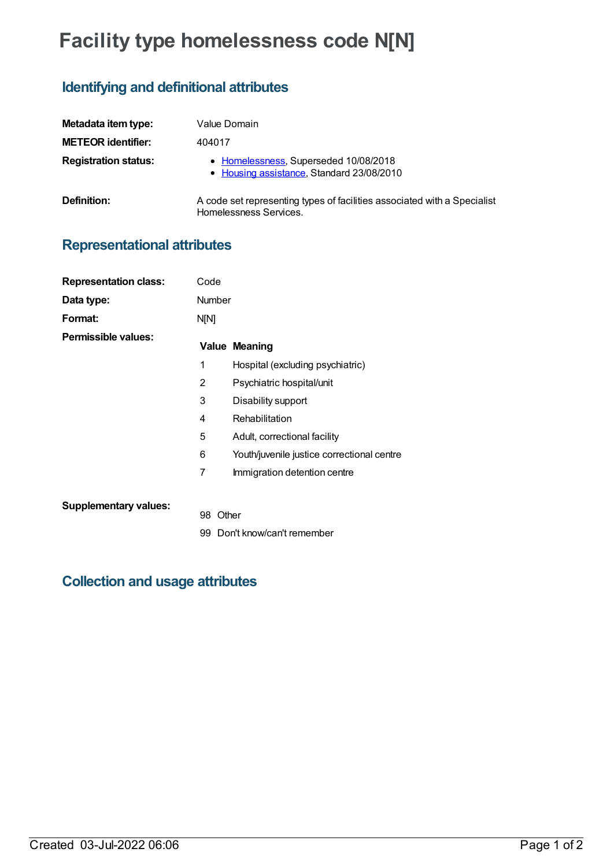## **Facility type homelessness code N[N]**

## **Identifying and definitional attributes**

| Metadata item type:         | Value Domain                                                                                       |
|-----------------------------|----------------------------------------------------------------------------------------------------|
| <b>METEOR identifier:</b>   | 404017                                                                                             |
| <b>Registration status:</b> | • Homelessness, Superseded 10/08/2018<br>• Housing assistance, Standard 23/08/2010                 |
| Definition:                 | A code set representing types of facilities associated with a Specialist<br>Homelessness Services. |

## **Representational attributes**

| <b>Representation class:</b> | Code          |                                            |
|------------------------------|---------------|--------------------------------------------|
| Data type:                   | <b>Number</b> |                                            |
| Format:                      | N[N]          |                                            |
| Permissible values:          |               | <b>Value Meaning</b>                       |
|                              | 1             | Hospital (excluding psychiatric)           |
|                              | 2             | Psychiatric hospital/unit                  |
|                              | 3             | Disability support                         |
|                              | 4             | Rehabilitation                             |
|                              | 5             | Adult, correctional facility               |
|                              | 6             | Youth/juvenile justice correctional centre |
|                              | 7             | Immigration detention centre               |
| <b>Supplementary values:</b> | 98            | Other                                      |
|                              |               | 99 Don't know/can't remember               |

## **Collection and usage attributes**